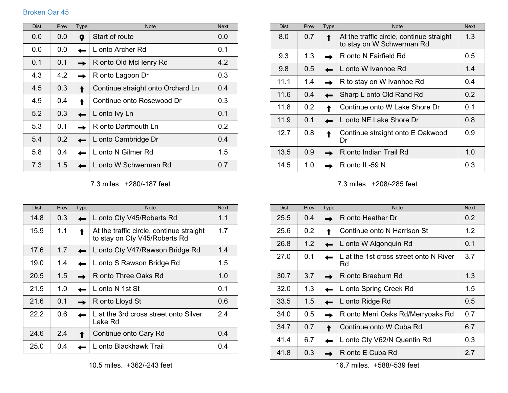## Broken Oar 45

| <b>Dist</b> | Prev | Type | <b>Note</b>                       | <b>Next</b> |
|-------------|------|------|-----------------------------------|-------------|
| 0.0         | 0.0  | 0    | Start of route                    | 0.0         |
| 0.0         | 0.0  |      | L onto Archer Rd                  | 0.1         |
| 0.1         | 0.1  |      | R onto Old McHenry Rd             | 4.2         |
| 4.3         | 4.2  |      | R onto Lagoon Dr                  | 0.3         |
| 4.5         | 0.3  |      | Continue straight onto Orchard Ln | 0.4         |
| 4.9         | 0.4  |      | Continue onto Rosewood Dr         | 0.3         |
| 5.2         | 0.3  |      | L onto Ivy Ln                     | 0.1         |
| 5.3         | 0.1  |      | R onto Dartmouth Ln               | 0.2         |
| 5.4         | 0.2  |      | L onto Cambridge Dr               | 0.4         |
| 5.8         | 0.4  |      | L onto N Gilmer Rd                | 1.5         |
| 7.3         | 1.5  |      | L onto W Schwerman Rd             | 0.7         |

7.3 miles. +280/-187 feet

 $\mathbf{L}$  $\pm 1$ 

 $\pm 1$ 

| <b>Dist</b> | Prev | Type | <b>Note</b>                                                               | <b>Next</b> |
|-------------|------|------|---------------------------------------------------------------------------|-------------|
| 14.8        | 0.3  |      | L onto Cty V45/Roberts Rd                                                 | 1.1         |
| 15.9        | 1.1  |      | At the traffic circle, continue straight<br>to stay on Cty V45/Roberts Rd | 1.7         |
| 17.6        | 1.7  |      | L onto Cty V47/Rawson Bridge Rd                                           | 1.4         |
| 19.0        | 1.4  |      | L onto S Rawson Bridge Rd                                                 | 1.5         |
| 20.5        | 1.5  |      | R onto Three Oaks Rd                                                      | 1.0         |
| 21.5        | 1.0  |      | L onto N 1st St                                                           | 0.1         |
| 21.6        | 0.1  |      | R onto Lloyd St                                                           | 0.6         |
| 22.2        | 0.6  |      | L at the 3rd cross street onto Silver<br>Lake Rd                          | 24          |
| 24.6        | 2.4  |      | Continue onto Cary Rd                                                     | 0.4         |
| 25.0        | 0.4  |      | L onto Blackhawk Trail                                                    | 0.4         |

| <b>Dist</b> | Prev          | <b>Type</b> | <b>Note</b>                                                           | <b>Next</b>   |
|-------------|---------------|-------------|-----------------------------------------------------------------------|---------------|
| 8.0         | 0.7           |             | At the traffic circle, continue straight<br>to stay on W Schwerman Rd | 1.3           |
| 9.3         | 1.3           |             | R onto N Fairfield Rd                                                 | $0.5^{\circ}$ |
| 9.8         | $0.5^{\circ}$ |             | L onto W Ivanhoe Rd                                                   | 1.4           |
| 11.1        | 1.4           |             | R to stay on W Ivanhoe Rd                                             | 0.4           |
| 11.6        | 0.4           |             | Sharp L onto Old Rand Rd                                              | 0.2           |
| 11.8        | 0.2           |             | Continue onto W Lake Shore Dr                                         | 0.1           |
| 11.9        | 0.1           |             | L onto NE Lake Shore Dr                                               | 0.8           |
| 12.7        | 0.8           |             | Continue straight onto E Oakwood<br>Dr                                | 0.9           |
| 13.5        | 0.9           |             | R onto Indian Trail Rd                                                | 1.0           |
| 14.5        | 1.0           |             | R onto IL-59 N                                                        | 0.3           |

7.3 miles. +208/-285 feet <u>. . . . . . . . . . . .</u>

 $\begin{array}{cccccccccccccc} \bot & \bot & \bot & \bot & \bot & \bot & \bot & \bot \end{array}$ 

| <b>Dist</b> | Prev | <b>Type</b> | <b>Note</b>                                  | <b>Next</b>   |
|-------------|------|-------------|----------------------------------------------|---------------|
| 25.5        | 0.4  |             | R onto Heather Dr                            | $0.2^{\circ}$ |
| 25.6        | 0.2  |             | Continue onto N Harrison St                  | 1.2           |
| 26.8        | 1.2  |             | L onto W Algonquin Rd                        | 0.1           |
| 27.0        | 0.1  |             | L at the 1st cross street onto N River<br>Rd | 3.7           |
| 30.7        | 3.7  |             | R onto Braeburn Rd                           | 1.3           |
| 32.0        | 1.3  |             | L onto Spring Creek Rd                       | 1.5           |
| 33.5        | 1.5  |             | L onto Ridge Rd                              | $0.5^{\circ}$ |
| 34.0        | 0.5  |             | R onto Merri Oaks Rd/Merryoaks Rd            | 0.7           |
| 34.7        | 0.7  |             | Continue onto W Cuba Rd                      | 6.7           |
| 41.4        | 6.7  |             | L onto Cty V62/N Quentin Rd                  | 0.3           |
| 41.8        | 0.3  |             | R onto E Cuba Rd                             | 2.7           |

16.7 miles. +588/-539 feet